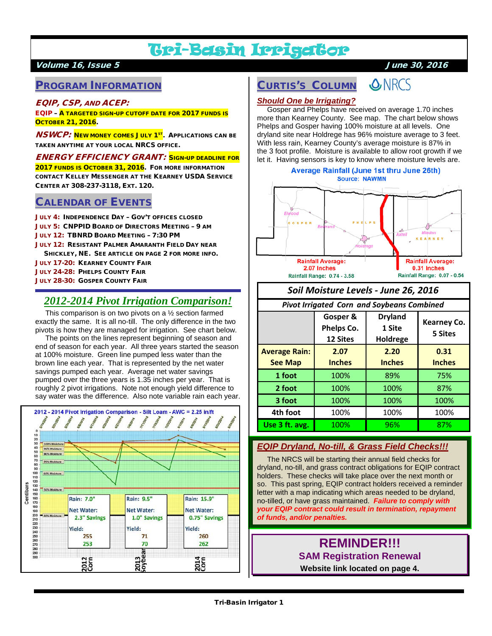# Tri-Basin Irrigator

#### Volume 16, Issue 5 June 30, 2016

# PROGRAM INFORMATION

#### EQIP, CSP, AND ACEP:

EQIP – A TARGETED SIGN-UP CUTOFF DATE FOR 2017 FUNDS IS **Остовек 21, 2016.** 

**NSWCP:** NEW MONEY COMES JULY 1<sup>ST</sup>. APPLICATIONS CAN BE TAKEN ANYTIME AT YOUR LOCAL NRCS OFFICE.

ENERGY EFFICIENCY GRANT: SIGN-UP DEADLINE FOR 2017 FUNDS IS OCTOBER 31, 2016. FOR MORE INFORMATION CONTACT KELLEY MESSENGER AT THE KEARNEY USDA SERVICE CENTER AT 308-237-3118, EXT. 120.

#### CALENDAR OF EVENTS

JULY 4: INDEPENDENCE DAY – GOV'T OFFICES CLOSED JULY 5: CNPPID BOARD OF DIRECTORS MEETING – 9 AM JULY 12: TBNRD BOARD MEETING – 7:30 PM JULY 12: RESISTANT PALMER AMARANTH FIELD DAY NEAR SHICKLEY, NE. SEE ARTICLE ON PAGE 2 FOR MORE INFO. JULY 17-20: KEARNEY COUNTY FAIR JULY 24-28: PHELPS COUNTY FAIR JULY 28-30: GOSPER COUNTY FAIR

# *2012-2014 Pivot Irrigation Comparison!*

 This comparison is on two pivots on a ½ section farmed exactly the same. It is all no-till. The only difference in the two pivots is how they are managed for irrigation. See chart below.

 The points on the lines represent beginning of season and end of season for each year. All three years started the season at 100% moisture. Green line pumped less water than the brown line each year. That is represented by the net water savings pumped each year. Average net water savings pumped over the three years is 1.35 inches per year. That is roughly 2 pivot irrigations. Note not enough yield difference to say water was the difference. Also note variable rain each year.



# CURTIS'S COLUMN



#### *Should One be Irrigating?*

 Gosper and Phelps have received on average 1.70 inches more than Kearney County. See map. The chart below shows Phelps and Gosper having 100% moisture at all levels. One dryland site near Holdrege has 96% moisture average to 3 feet. With less rain, Kearney County's average moisture is 87% in the 3 foot profile. Moisture is available to allow root growth if we let it. Having sensors is key to know where moisture levels are.



## *Soil Moisture Levels - June 26, 2016*

#### *Pivot Irrigated Corn and Soybeans Combined*

|                      | Gosper &<br>Phelps Co.<br>12 Sites | <b>Dryland</b><br>1 Site<br>Holdrege | Kearney Co.<br>5 Sites |
|----------------------|------------------------------------|--------------------------------------|------------------------|
| <b>Average Rain:</b> | 2.07                               | 2.20                                 | 0.31                   |
| <b>See Map</b>       | <b>Inches</b>                      | <b>Inches</b>                        | <b>Inches</b>          |
| 1 foot               | 100%                               | 89%                                  | 75%                    |
| 2 foot               | 100%                               | 100%                                 | 87%                    |
| 3 foot               | 100%                               | 100%                                 | 100%                   |
| 4th foot             | 100%                               | 100%                                 | 100%                   |
| Use 3 ft. avg.       | 100%                               | 96%                                  | 87%                    |

#### *EQIP Dryland, No-till, & Grass Field Checks!!!*

 The NRCS will be starting their annual field checks for dryland, no-till, and grass contract obligations for EQIP contract holders. These checks will take place over the next month or so. This past spring, EQIP contract holders received a reminder letter with a map indicating which areas needed to be dryland, no-tilled, or have grass maintained. *Failure to comply with your EQIP contract could result in termination, repayment of funds, and/or penalties.*

# **REMINDER!!! SAM Registration Renewal**

**Website link located on page 4.**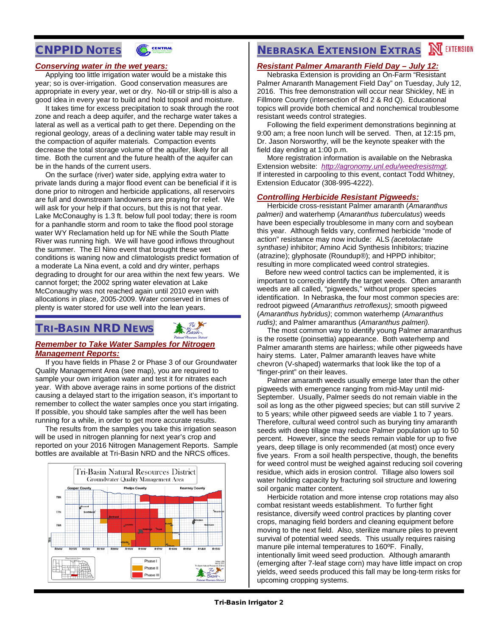# CNPPID NOTES



#### *Conserving water in the wet years:*

 Applying too little irrigation water would be a mistake this year; so is over-irrigation. Good conservation measures are appropriate in every year, wet or dry. No-till or strip-till is also a good idea in every year to build and hold topsoil and moisture.

 It takes time for excess precipitation to soak through the root zone and reach a deep aquifer, and the recharge water takes a lateral as well as a vertical path to get there. Depending on the regional geology, areas of a declining water table may result in the compaction of aquifer materials. Compaction events decrease the total storage volume of the aquifer, likely for all time. Both the current and the future health of the aquifer can be in the hands of the current users.

 On the surface (river) water side, applying extra water to private lands during a major flood event can be beneficial if it is done prior to nitrogen and herbicide applications, all reservoirs are full and downstream landowners are praying for relief. We will ask for your help if that occurs, but this is not that year. Lake McConaughy is 1.3 ft. below full pool today; there is room for a panhandle storm and room to take the flood pool storage water WY Reclamation held up for NE while the South Platte River was running high. We will have good inflows throughout the summer. The El Nino event that brought these wet conditions is waning now and climatologists predict formation of a moderate La Nina event, a cold and dry winter, perhaps degrading to drought for our area within the next few years. We cannot forget; the 2002 spring water elevation at Lake McConaughy was not reached again until 2010 even with allocations in place, 2005-2009. Water conserved in times of plenty is water stored for use well into the lean years.

# TRI-BASIN NRD NEWS



#### *Remember to Take Water Samples for Nitrogen Management Reports:*

 If you have fields in Phase 2 or Phase 3 of our Groundwater Quality Management Area (see map), you are required to sample your own irrigation water and test it for nitrates each year. With above average rains in some portions of the district causing a delayed start to the irrigation season, it's important to remember to collect the water samples once you start irrigating. If possible, you should take samples after the well has been running for a while, in order to get more accurate results.

 The results from the samples you take this irrigation season will be used in nitrogen planning for next year's crop and reported on your 2016 Nitrogen Management Reports. Sample bottles are available at Tri-Basin NRD and the NRCS offices.



# **NEBRASKA EXTENSION EXTRAS NEXTENSION**

#### *Resistant Palmer Amaranth Field Day – July 12:*

 Nebraska Extension is providing an On-Farm "Resistant Palmer Amaranth Management Field Day" on Tuesday, July 12, 2016. This free demonstration will occur near Shickley, NE in Fillmore County (intersection of Rd 2 & Rd Q). Educational topics will provide both chemical and nonchemical troublesome resistant weeds control strategies.

 Following the field experiment demonstrations beginning at 9:00 am; a free noon lunch will be served. Then, at 12:15 pm, Dr. Jason Norsworthy, will be the keynote speaker with the field day ending at 1:00 p.m.

 More registration information is available on the Nebraska Extension website: *[http://agronomy.unl.edu/weedresistmgt.](http://agronomy.unl.edu/weedresistmgt)* If interested in carpooling to this event, contact Todd Whitney, Extension Educator (308-995-4222).

#### *Controlling Herbicide Resistant Pigweeds:*

 Herbicide cross-resistant Palmer amaranth (*Amaranthus palmeri)* and waterhemp (*Amaranthus tuberculatus*) weeds have been especially troublesome in many corn and soybean this year. Although fields vary, confirmed herbicide "mode of action" resistance may now include: ALS *(acetolactate synthase)* inhibitor; Amino Acid Synthesis Inhibitors; triazine (atrazine); glyphosate (Roundup®); and HPPD inhibitor; resulting in more complicated weed control strategies.

 Before new weed control tactics can be implemented, it is important to correctly identify the target weeds. Often amaranth weeds are all called, "pigweeds," without proper species identification. In Nebraska, the four most common species are: redroot pigweed (*Amaranthus retroflexus)*; smooth pigweed (*Amaranthus hybridus)*; common waterhemp (*Amaranthus rudis)*; and Palmer amaranthus (*Amaranthus palmeri).*

 The most common way to identify young Palmer amaranthus is the rosette (poinsettia) appearance. Both waterhemp and Palmer amaranth stems are hairless; while other pigweeds have hairy stems. Later, Palmer amaranth leaves have white chevron (V-shaped) watermarks that look like the top of a "finger-print" on their leaves.

 Palmer amaranth weeds usually emerge later than the other pigweeds with emergence ranging from mid-May until mid-September. Usually, Palmer seeds do not remain viable in the soil as long as the other pigweed species; but can still survive 2 to 5 years; while other pigweed seeds are viable 1 to 7 years. Therefore, cultural weed control such as burying tiny amaranth seeds with deep tillage may reduce Palmer population up to 50 percent. However, since the seeds remain viable for up to five years, deep tillage is only recommended (at most) once every five years. From a soil health perspective, though, the benefits for weed control must be weighed against reducing soil covering residue, which aids in erosion control. Tillage also lowers soil water holding capacity by fracturing soil structure and lowering soil organic matter content.

 Herbicide rotation and more intense crop rotations may also combat resistant weeds establishment. To further fight resistance, diversify weed control practices by planting cover crops, managing field borders and cleaning equipment before moving to the next field. Also, sterilize manure piles to prevent survival of potential weed seeds. This usually requires raising manure pile internal temperatures to 160ºF. Finally, intentionally limit weed seed production. Although amaranth (emerging after 7-leaf stage corn) may have little impact on crop yields, weed seeds produced this fall may be long-term risks for upcoming cropping systems.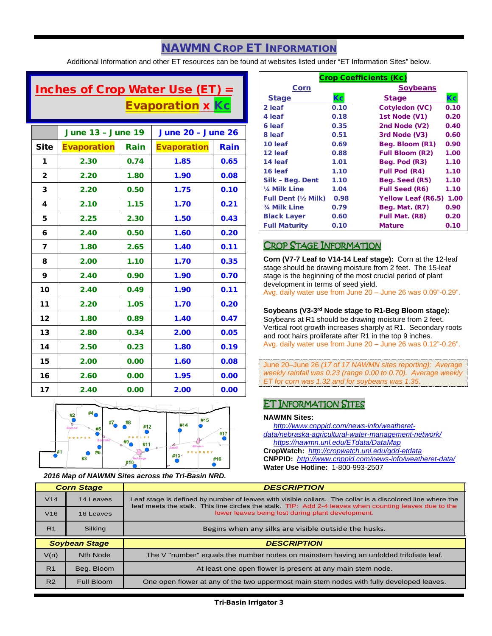# NAWMN CROP ET INFORMATION

Additional Information and other ET resources can be found at websites listed under "ET Information Sites" below.

# Inches of Crop Water Use (ET)  $=$ **Evaporation x Kc**

|              | <b>June 13 - June 19</b> |      | <b>June 20 - June 26</b> |      |
|--------------|--------------------------|------|--------------------------|------|
| <b>Site</b>  | <b>Evaporation</b>       | Rain | <b>Evaporation</b>       | Rain |
| 1            | 2.30                     | 0.74 | 1.85                     | 0.65 |
| $\mathbf{2}$ | 2.20                     | 1.80 | 1.90                     | 0.08 |
| 3            | 2.20                     | 0.50 | 1.75                     | 0.10 |
| 4            | 2.10                     | 1.15 | 1.70                     | 0.21 |
| 5            | 2.25                     | 2.30 | 1.50                     | 0.43 |
| 6            | 2.40                     | 0.50 | 1.60                     | 0.20 |
| 7            | 1.80                     | 2.65 | 1.40                     | 0.11 |
| 8            | 2.00                     | 1.10 | 1.70                     | 0.35 |
| 9            | 2.40                     | 0.90 | 1.90                     | 0.70 |
| 10           | 2.40                     | 0.49 | 1.90                     | 0.11 |
| 11           | 2.20                     | 1.05 | 1.70                     | 0.20 |
| 12           | 1.80                     | 0.89 | 1.40                     | 0.47 |
| 13           | 2.80                     | 0.34 | 2.00                     | 0.05 |
| 14           | 2.50                     | 0.23 | 1.80                     | 0.19 |
| 15           | 2.00                     | 0.00 | 1.60                     | 0.08 |
| 16           | 2.60                     | 0.00 | 1.95                     | 0.00 |
| 17           | 2.40                     | 0.00 | 2.00                     | 0.00 |



*2016 Map of NAWMN Sites across the Tri-Basin NRD.*

| <b>Crop Coefficients (Kc)</b> |      |                           |      |
|-------------------------------|------|---------------------------|------|
| Corn                          |      | <b>Soybeans</b>           |      |
| <b>Stage</b>                  | Кc   | <b>Stage</b>              | Кc   |
| 2 leaf                        | 0.10 | Cotyledon (VC)            | 0.10 |
| 4 leaf                        | 0.18 | 1st Node (V1)             | 0.20 |
| 6 leaf                        | 0.35 | 2nd Node (V2)             | 0.40 |
| 8 leaf                        | 0.51 | 3rd Node (V3)             | 0.60 |
| 10 leaf                       | 0.69 | Beg. Bloom (R1)           | 0.90 |
| 12 leaf                       | 0.88 | <b>Full Bloom (R2)</b>    | 1.00 |
| 14 leaf                       | 1.01 | Beg. Pod (R3)             | 1.10 |
| 16 leaf                       | 1.10 | <b>Full Pod (R4)</b>      | 1.10 |
| Silk - Beg. Dent              | 1.10 | Beg. Seed (R5)            | 1.10 |
| 1/4 Milk Line                 | 1.04 | <b>Full Seed (R6)</b>     | 1.10 |
| <b>Full Dent (1/2 Milk)</b>   | 0.98 | <b>Yellow Leaf (R6.5)</b> | 1.00 |
| 3/4 Milk Line                 | 0.79 | Beg. Mat. (R7)            | 0.90 |
| <b>Black Layer</b>            | 0.60 | Full Mat. (R8)            | 0.20 |
| <b>Full Maturity</b>          | 0.10 | <b>Mature</b>             | 0.10 |

### CROP STAGE INFORMATION

**Corn (V7-7 Leaf to V14-14 Leaf stage):** Corn at the 12-leaf stage should be drawing moisture from 2 feet. The 15-leaf stage is the beginning of the most crucial period of plant development in terms of seed yield.

Avg. daily water use from June 20 – June 26 was 0.09"-0.29".

#### **Soybeans (V3-3rd Node stage to R1-Beg Bloom stage):**

Soybeans at R1 should be drawing moisture from 2 feet. Vertical root growth increases sharply at R1. Secondary roots and root hairs proliferate after R1 in the top 9 inches. Avg. daily water use from June 20 – June 26 was 0.12"-0.26".

June 20–June 26 *(17 of 17 NAWMN sites reporting): Average weekly rainfall was 0.23 (range 0.00 to 0.70). Average weekly ET for corn was 1.32 and for soybeans was 1.35.*

## ET INFORMATION SITES

#### **NAWMN Sites:**

 *[http://www.cnppid.com/news-info/weatheret](http://www.cnppid.com/news-info/weatheret-data/nebraska-agricultural-water-management-network/)[data/nebraska-agricultural-water-management-network/](http://www.cnppid.com/news-info/weatheret-data/nebraska-agricultural-water-management-network/) <https://nawmn.unl.edu/ETdata/DataMap>*

**CropWatch:** *<http://cropwatch.unl.edu/gdd-etdata>* **CNPPID:** *<http://www.cnppid.com/news-info/weatheret-data/>* **Water Use Hotline:** 1-800-993-2507

| <b>Corn Stage</b> |                      | <b>DESCRIPTION</b>                                                                                                                                                                                                  |  |  |
|-------------------|----------------------|---------------------------------------------------------------------------------------------------------------------------------------------------------------------------------------------------------------------|--|--|
| V <sub>14</sub>   | 14 Leaves            | Leaf stage is defined by number of leaves with visible collars. The collar is a discolored line where the<br>leaf meets the stalk. This line circles the stalk. TIP: Add 2-4 leaves when counting leaves due to the |  |  |
| V <sub>16</sub>   | 16 Leaves            | lower leaves being lost during plant development.                                                                                                                                                                   |  |  |
| R <sub>1</sub>    | Silking              | Begins when any silks are visible outside the husks.                                                                                                                                                                |  |  |
|                   |                      |                                                                                                                                                                                                                     |  |  |
|                   | <b>Soybean Stage</b> | <b>DESCRIPTION</b>                                                                                                                                                                                                  |  |  |
| V(n)              | Nth Node             | The V "number" equals the number nodes on mainstem having an unfolded trifoliate leaf.                                                                                                                              |  |  |
| R <sub>1</sub>    | Beg. Bloom           | At least one open flower is present at any main stem node.                                                                                                                                                          |  |  |